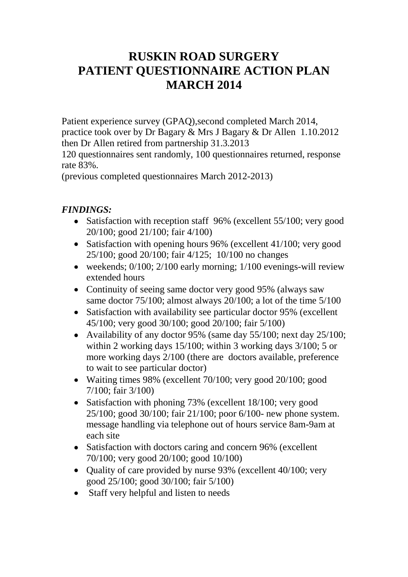## **RUSKIN ROAD SURGERY PATIENT QUESTIONNAIRE ACTION PLAN MARCH 2014**

Patient experience survey (GPAQ),second completed March 2014, practice took over by Dr Bagary & Mrs J Bagary & Dr Allen 1.10.2012 then Dr Allen retired from partnership 31.3.2013

120 questionnaires sent randomly, 100 questionnaires returned, response rate 83%.

(previous completed questionnaires March 2012-2013)

## *FINDINGS:*

- Satisfaction with reception staff 96% (excellent 55/100; very good 20/100; good 21/100; fair 4/100)
- Satisfaction with opening hours 96% (excellent 41/100; very good 25/100; good 20/100; fair 4/125; 10/100 no changes
- weekends; 0/100; 2/100 early morning; 1/100 evenings-will review extended hours
- Continuity of seeing same doctor very good 95% (always saw same doctor 75/100; almost always 20/100; a lot of the time 5/100
- Satisfaction with availability see particular doctor 95% (excellent 45/100; very good 30/100; good 20/100; fair 5/100)
- Availability of any doctor 95% (same day 55/100; next day 25/100; within 2 working days 15/100; within 3 working days 3/100; 5 or more working days 2/100 (there are doctors available, preference to wait to see particular doctor)
- Waiting times 98% (excellent 70/100; very good 20/100; good 7/100; fair 3/100)
- Satisfaction with phoning 73% (excellent 18/100; very good 25/100; good 30/100; fair 21/100; poor 6/100- new phone system. message handling via telephone out of hours service 8am-9am at each site
- Satisfaction with doctors caring and concern 96% (excellent 70/100; very good 20/100; good 10/100)
- Quality of care provided by nurse 93% (excellent 40/100; very good 25/100; good 30/100; fair 5/100)
- Staff very helpful and listen to needs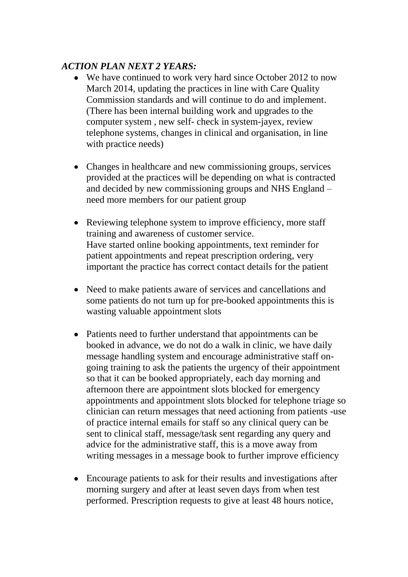## *ACTION PLAN NEXT 2 YEARS:*

- We have continued to work very hard since October 2012 to now March 2014, updating the practices in line with Care Quality Commission standards and will continue to do and implement. (There has been internal building work and upgrades to the computer system , new self- check in system-jayex, review telephone systems, changes in clinical and organisation, in line with practice needs)
- Changes in healthcare and new commissioning groups, services provided at the practices will be depending on what is contracted and decided by new commissioning groups and NHS England – need more members for our patient group
- Reviewing telephone system to improve efficiency, more staff training and awareness of customer service. Have started online booking appointments, text reminder for patient appointments and repeat prescription ordering, very important the practice has correct contact details for the patient
- Need to make patients aware of services and cancellations and some patients do not turn up for pre-booked appointments this is wasting valuable appointment slots
- Patients need to further understand that appointments can be booked in advance, we do not do a walk in clinic, we have daily message handling system and encourage administrative staff ongoing training to ask the patients the urgency of their appointment so that it can be booked appropriately, each day morning and afternoon there are appointment slots blocked for emergency appointments and appointment slots blocked for telephone triage so clinician can return messages that need actioning from patients -use of practice internal emails for staff so any clinical query can be sent to clinical staff, message/task sent regarding any query and advice for the administrative staff, this is a move away from writing messages in a message book to further improve efficiency
- Encourage patients to ask for their results and investigations after morning surgery and after at least seven days from when test performed. Prescription requests to give at least 48 hours notice,